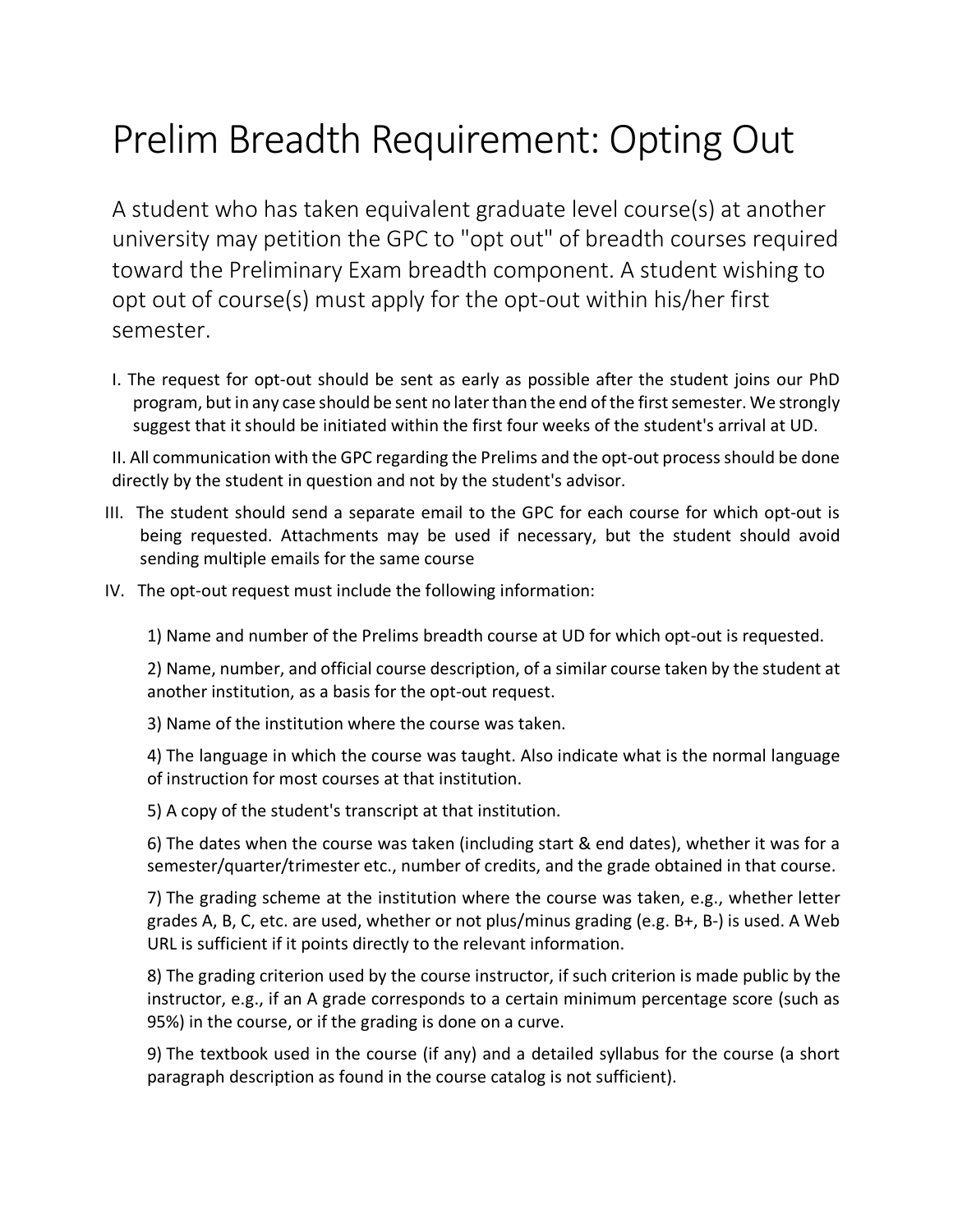## Prelim Breadth Requirement: Opting Out

A student who has taken equivalent graduate level course(s) at another university may petition the GPC to "opt out" of breadth courses required toward the Preliminary Exam breadth component. A student wishing to opt out of course(s) must apply for the opt-out within his/her first semester.

I. The request for opt-out should be sent as early as possible after the student joins our PhD program, but in any case should be sent no later than the end of the first semester. We strongly suggest that it should be initiated within the first four weeks of the student's arrival at UD.

II. All communication with the GPC regarding the Prelims and the opt-out process should be done directly by the student in question and not by the student's advisor.

- III. The student should send a separate email to the GPC for each course for which opt-out is being requested. Attachments may be used if necessary, but the student should avoid sending multiple emails for the same course
- IV. The opt-out request must include the following information:

1) Name and number of the Prelims breadth course at UD for which opt-out is requested.

2) Name, number, and official course description, of a similar course taken by the student at another institution, as a basis for the opt-out request.

3) Name of the institution where the course was taken.

4) The language in which the course was taught. Also indicate what is the normal language of instruction for most courses at that institution.

5) A copy of the student's transcript at that institution.

6) The dates when the course was taken (including start & end dates), whether it was for a semester/quarter/trimester etc., number of credits, and the grade obtained in that course.

7) The grading scheme at the institution where the course was taken, e.g., whether letter grades A, B, C, etc. are used, whether or not plus/minus grading (e.g. B+, B-) is used. A Web URL is sufficient if it points directly to the relevant information.

8) The grading criterion used by the course instructor, if such criterion is made public by the instructor, e.g., if an A grade corresponds to a certain minimum percentage score (such as 95%) in the course, or if the grading is done on a curve.

9) The textbook used in the course (if any) and a detailed syllabus for the course (a short paragraph description as found in the course catalog is not sufficient).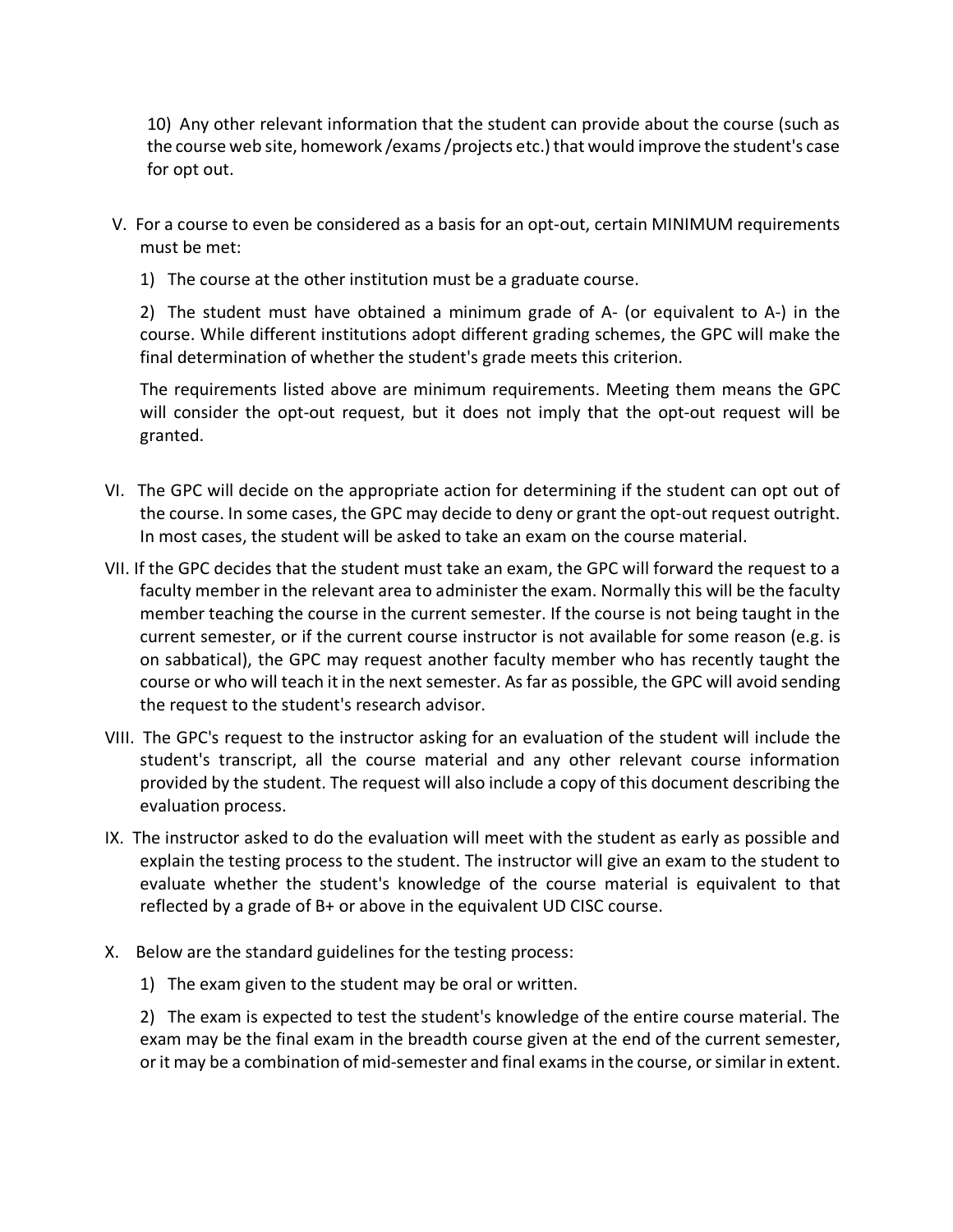10) Any other relevant information that the student can provide about the course (such as the course web site, homework /exams /projects etc.) that would improve the student's case for opt out.

- V. For a course to even be considered as a basis for an opt-out, certain MINIMUM requirements must be met:
	- 1) The course at the other institution must be a graduate course.

2) The student must have obtained a minimum grade of A- (or equivalent to A-) in the course. While different institutions adopt different grading schemes, the GPC will make the final determination of whether the student's grade meets this criterion.

The requirements listed above are minimum requirements. Meeting them means the GPC will consider the opt-out request, but it does not imply that the opt-out request will be granted.

- VI. The GPC will decide on the appropriate action for determining if the student can opt out of the course. In some cases, the GPC may decide to deny or grant the opt-out request outright. In most cases, the student will be asked to take an exam on the course material.
- VII. If the GPC decides that the student must take an exam, the GPC will forward the request to a faculty member in the relevant area to administer the exam. Normally this will be the faculty member teaching the course in the current semester. If the course is not being taught in the current semester, or if the current course instructor is not available for some reason (e.g. is on sabbatical), the GPC may request another faculty member who has recently taught the course or who will teach it in the next semester. As far as possible, the GPC will avoid sending the request to the student's research advisor.
- VIII. The GPC's request to the instructor asking for an evaluation of the student will include the student's transcript, all the course material and any other relevant course information provided by the student. The request will also include a copy of this document describing the evaluation process.
- IX. The instructor asked to do the evaluation will meet with the student as early as possible and explain the testing process to the student. The instructor will give an exam to the student to evaluate whether the student's knowledge of the course material is equivalent to that reflected by a grade of B+ or above in the equivalent UD CISC course.
- X. Below are the standard guidelines for the testing process:
	- 1) The exam given to the student may be oral or written.

2) The exam is expected to test the student's knowledge of the entire course material. The exam may be the final exam in the breadth course given at the end of the current semester, or it may be a combination of mid-semester and final exams in the course, or similar in extent.